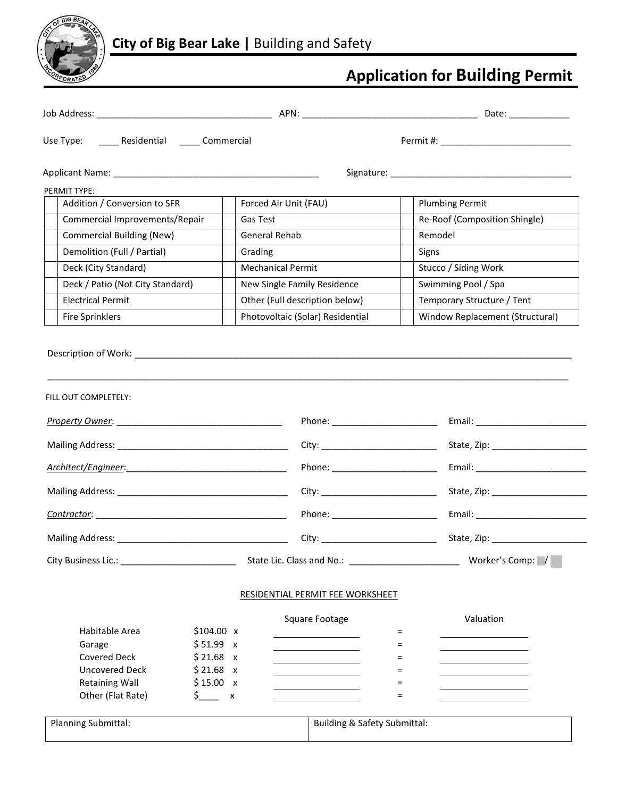

# **Application for Building Permit**

| Use Type: ______ Residential _____ Commercial                     |                                                                                                                                                    |                                                                                                             |
|-------------------------------------------------------------------|----------------------------------------------------------------------------------------------------------------------------------------------------|-------------------------------------------------------------------------------------------------------------|
|                                                                   |                                                                                                                                                    |                                                                                                             |
| PERMIT TYPE:                                                      |                                                                                                                                                    |                                                                                                             |
| Addition / Conversion to SFR                                      | Forced Air Unit (FAU)                                                                                                                              | <b>Plumbing Permit</b>                                                                                      |
| Commercial Improvements/Repair                                    | Gas Test                                                                                                                                           | Re-Roof (Composition Shingle)                                                                               |
| <b>Commercial Building (New)</b>                                  | General Rehab                                                                                                                                      | Remodel                                                                                                     |
| Demolition (Full / Partial)                                       | Grading                                                                                                                                            | Signs                                                                                                       |
| Deck (City Standard)                                              | <b>Mechanical Permit</b>                                                                                                                           | Stucco / Siding Work                                                                                        |
| Deck / Patio (Not City Standard)                                  | New Single Family Residence                                                                                                                        | Swimming Pool / Spa                                                                                         |
| <b>Electrical Permit</b>                                          | Other (Full description below)                                                                                                                     | Temporary Structure / Tent                                                                                  |
| <b>Fire Sprinklers</b>                                            | Photovoltaic (Solar) Residential                                                                                                                   | Window Replacement (Structural)                                                                             |
|                                                                   |                                                                                                                                                    | City: _____________________________<br>State, Zip: ______________________<br>Phone: _______________________ |
|                                                                   |                                                                                                                                                    |                                                                                                             |
|                                                                   |                                                                                                                                                    |                                                                                                             |
|                                                                   |                                                                                                                                                    | Phone: ________________________                                                                             |
|                                                                   |                                                                                                                                                    | City: ____________________________                                                                          |
|                                                                   |                                                                                                                                                    | Worker's Comp: /                                                                                            |
|                                                                   |                                                                                                                                                    |                                                                                                             |
|                                                                   | RESIDENTIAL PERMIT FEE WORKSHEET                                                                                                                   |                                                                                                             |
| Habitable Area<br>Garage<br><b>Covered Deck</b><br>Uncovered Deck | Square Footage<br>\$104.00 x<br>\$51.99 x<br>$$21.68 \times$<br><u> 1990 - Johann Barn, mars an t-Amerikaansk kommunister (</u><br>$$21.68 \times$ | Valuation<br>$=$<br>$=$<br>$=$<br>=<br>$=$                                                                  |
| <b>Retaining Wall</b><br>Other (Flat Rate)                        | \$15.00 x<br>$\frac{\zeta}{\zeta}$ x                                                                                                               | $=$                                                                                                         |